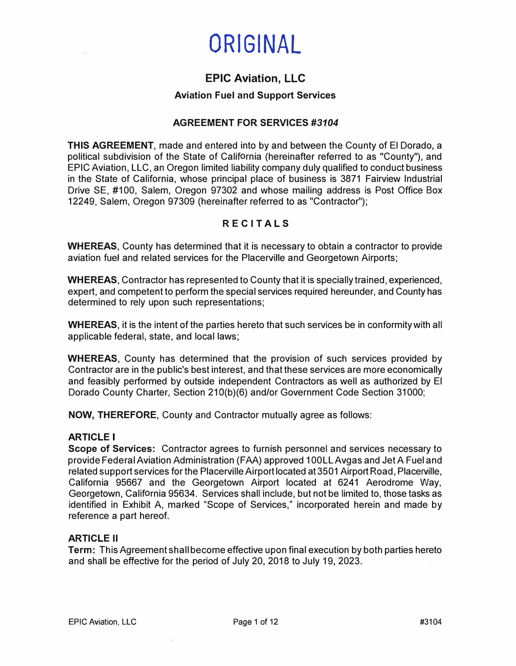# ORIGINAL

# **EPIC Aviation, LLC**

#### **Aviation Fuel and Support Services**

# **AGREEMENT FOR SERVICES** *#3104*

**THIS AGREEMENT,** made and entered into by and between the County of El Dorado, a political subdivision of the State of California (hereinafter referred to as "County"), and EPIC Aviation, LLC, an Oregon limited liability company duly qualified to conduct business in the State of California, whose principal place of business is 3871 Fairview Industrial Drive SE, #100, Salem, Oregon 97302 and whose mailing address is Post Office Box 12249, Salem, Oregon 97309 (hereinafter referred to as "Contractor");

# **RECITALS**

**WHEREAS,** County has determined that it is necessary to obtain a contractor to provide aviation fuel and related services for the Placerville and Georgetown Airports;

**WHEREAS,** Contractor has represented to County that it is specially trained, experienced, expert, and competent to perform the special services required hereunder, and County has determined to rely upon such representations;

**WHEREAS,** it is the intent of the parties hereto that such services be in conformity with all applicable federal, state, and local laws;

**WHEREAS,** County has determined that the provision of such services provided by Contractor are in the public's best interest, and that these services are more economically and feasibly performed by outside independent Contractors as well as authorized by El Dorado County Charter, Section 210(b)(6) and/or Government Code Section 31000;

**NOW, THEREFORE,** County and Contractor mutually agree as follows:

#### **ARTICLE I**

**Scope of Services:** Contractor agrees to furnish personnel and services necessary to provide Federal Aviation Administration (FAA) approved 100LL Avgas and Jet A Fuel and related support services for the Placerville Airport located at 3501 Airport Road, Placerville, California 95667 and the Georgetown Airport located at 6241 Aerodrome Way, Georgetown, California 95634. Services shall include, but not be limited to, those tasks as identified in Exhibit A, marked "Scope of Services," incorporated herein and made by reference a part hereof.

#### **ARTICLE II**

**Term:** This Agreement shall become effective upon final execution by both parties hereto and shall be effective for the period of July 20, 2018 to July 19, 2023.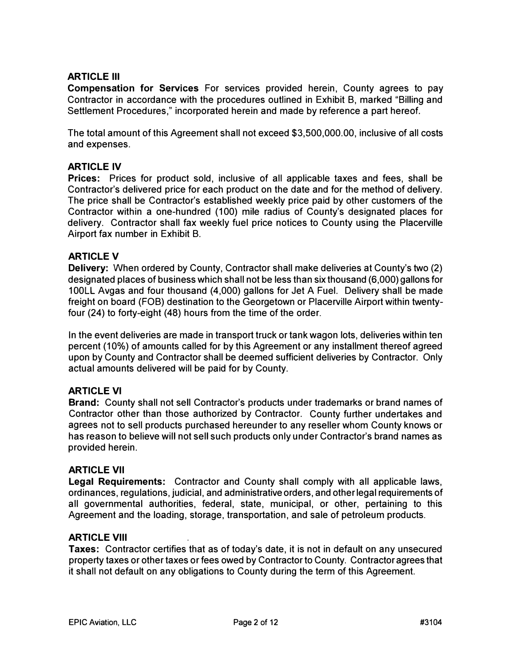# **ARTICLE Ill**

**Compensation for Services** For services provided herein, County agrees to pay Contractor in accordance with the procedures outlined in Exhibit B, marked "Billing and Settlement Procedures," incorporated herein and made by reference a part hereof.

The total amount of this Agreement shall not exceed \$3,500,000.00, inclusive of all costs and expenses.

# **ARTICLE IV**

**Prices:** Prices for product sold, inclusive of all applicable taxes and fees, shall be Contractor's delivered price for each product on the date and for the method of delivery. The price shall be Contractor's established weekly price paid by other customers of the Contractor within a one-hundred (100) mile radius of County's designated places for delivery. Contractor shall fax weekly fuel price notices to County using the Placerville Airport fax number in Exhibit B.

# **ARTICLE V**

**Delivery:** When ordered by County, Contractor shall make deliveries at County's two (2) designated places of business which shall not be less than six thousand (6,000) gallons for 1 OOLL Avgas and four thousand (4,000) gallons for Jet A Fuel. Delivery shall be made freight on board (FOB) destination to the Georgetown or Placerville Airport within twentyfour (24) to forty-eight (48) hours from the time of the order.

In the event deliveries are made in transport truck or tank wagon lots, deliveries within ten percent (10%) of amounts called for by this Agreement or any installment thereof agreed upon by County and Contractor shall be deemed sufficient deliveries by Contractor. Only actual amounts delivered will be paid for by County.

#### **ARTICLE VI**

**Brand:** County shall not sell Contractor's products under trademarks or brand names of Contractor other than those authorized by Contractor. County further undertakes and agrees not to sell products purchased hereunder to any reseller whom County knows or has reason to believe will not sell such products only under Contractor's brand names as provided herein.

#### **ARTICLE VII**

**Legal Requirements:** Contractor and County shall comply with all applicable laws, ordinances, regulations, judicial, and administrative orders, and other legal requirements of all governmental authorities, federal, state, municipal, or other, pertaining to this Agreement and the loading, storage, transportation, and sale of petroleum products.

#### **ARTICLE VIII**

**Taxes:** Contractor certifies that as of today's date, it is not in default on any unsecured property taxes or other taxes or fees owed by Contractor to County. Contractor agrees that it shall not default on any obligations to County during the term of this Agreement.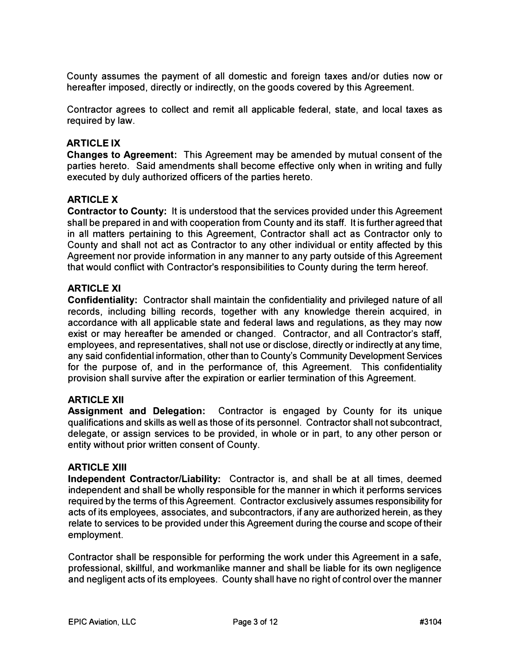County assumes the payment of all domestic and foreign taxes and/or duties now or hereafter imposed, directly or indirectly, on the goods covered by this Agreement.

Contractor agrees to collect and remit all applicable federal, state, and local taxes as required by law.

# **ARTICLE IX**

**Changes to Agreement:** This Agreement may be amended by mutual consent of the parties hereto. Said amendments shall become effective only when in writing and fully executed by duly authorized officers of the parties hereto.

# **ARTICLEX**

**Contractor to County:** It is understood that the services provided under this Agreement shall be prepared in and with cooperation from County and its staff. It is further agreed that in all matters pertaining to this Agreement, Contractor shall act as Contractor only to County and shall not act as Contractor to any other individual or entity affected by this Agreement nor provide information in any manner to any party outside of this Agreement that would conflict with Contractor's responsibilities to County during the term hereof.

# **ARTICLE XI**

**Confidentiality:** Contractor shall maintain the confidentiality and privileged nature of all records, including billing records, together with any knowledge therein acquired, in accordance with all applicable state and federal laws and regulations, as they may now exist or may hereafter be amended or changed. Contractor, and all Contractor's staff, employees, and representatives, shall not use or disclose, directly or indirectly at any time, any said confidential information, other than to County's Community Development Services for the purpose of, and in the performance of, this Agreement. This confidentiality provision shall survive after the expiration or earlier termination of this Agreement.

# **ARTICLE XII**

**Assignment and Delegation:** Contractor is engaged by County for its unique qualifications and skills as well as those of its personnel. Contractor shall not subcontract, delegate, or assign services to be provided, in whole or in part, to any other person or entity without prior written consent of County.

# **ARTICLE XIII**

**Independent Contractor/Liability:** Contractor is, and shall be at all times, deemed independent and shall be wholly responsible for the manner in which it performs services required by the terms of this Agreement. Contractor exclusively assumes responsibility for acts of its employees, associates, and subcontractors, if any are authorized herein, as they relate to services to be provided under this Agreement during the course and scope of their employment.

Contractor shall be responsible for performing the work under this Agreement in a safe, professional, skillful, and workmanlike manner and shall be liable for its own negligence and negligent acts of its employees. County shall have no right of control over the manner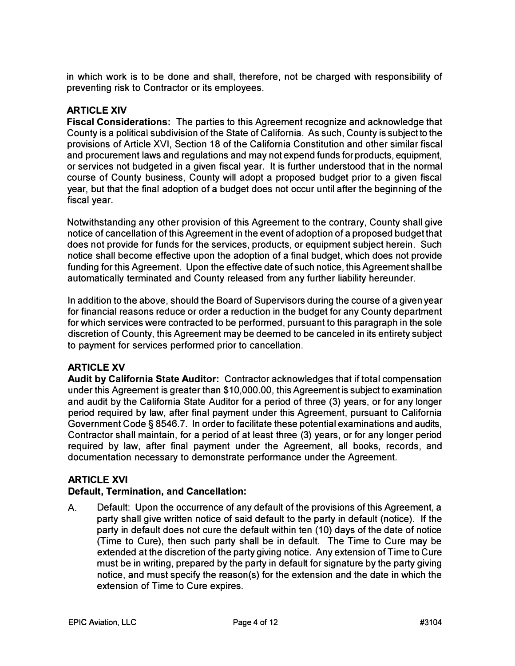in which work is to be done and shall, therefore, not be charged with responsibility of preventing risk to Contractor or its employees.

# **ARTICLE XIV**

**Fiscal Considerations:** The parties to this Agreement recognize and acknowledge that County is a political subdivision of the State of California. As such, County is subject to the provisions of Article XVI, Section 18 of the California Constitution and other similar fiscal and procurement laws and regulations and may not expend funds for products, equipment, or services not budgeted in a given fiscal year. It is further understood that in the normal course of County business, County will adopt a proposed budget prior to a given fiscal year, but that the final adoption of a budget does not occur until after the beginning of the fiscal year.

Notwithstanding any other provision of this Agreement to the contrary, County shall give notice of cancellation of this Agreement in the event of adoption of a proposed budget that does not provide for funds for the services, products, or equipment subject herein. Such notice shall become effective upon the adoption of a final budget, which does not provide funding for this Agreement. Upon the effective date of such notice, this Agreement shall be automatically terminated and County released from any further liability hereunder.

In addition to the above, should the Board of Supervisors during the course of a given year for financial reasons reduce or order a reduction in the budget for any County department for which services were contracted to be performed, pursuant to this paragraph in the sole discretion of County, this Agreement may be deemed to be canceled in its entirety subject to payment for services performed prior to cancellation.

# **ARTICLE XV**

**Audit** by **California State Auditor:** Contractor acknowledges that if total compensation under this Agreement is greater than \$10,000.00, this Agreement is subject to examination and audit by the California State Auditor for a period of three (3) years, or for any longer period required by law, after final payment under this Agreement, pursuant to California Government Code § 8546.7. In order to facilitate these potential examinations and audits, Contractor shall maintain, for a period of at least three (3) years, or for any longer period required by law, after final payment under the Agreement, all books, records, and documentation necessary to demonstrate performance under the Agreement.

# **ARTICLE XVI**

# **Default, Termination, and Cancellation:**

A. Default: Upon the occurrence of any default of the provisions of this Agreement, a party shall give written notice of said default to the party in default (notice). If the party in default does not cure the default within ten (10) days of the date of notice (Time to Cure), then such party shall be in default. The Time to Cure may be extended at the discretion of the party giving notice. Any extension of Time to Cure must be in writing, prepared by the party in default for signature by the party giving notice, and must specify the reason(s) for the extension and the date in which the extension of Time to Cure expires.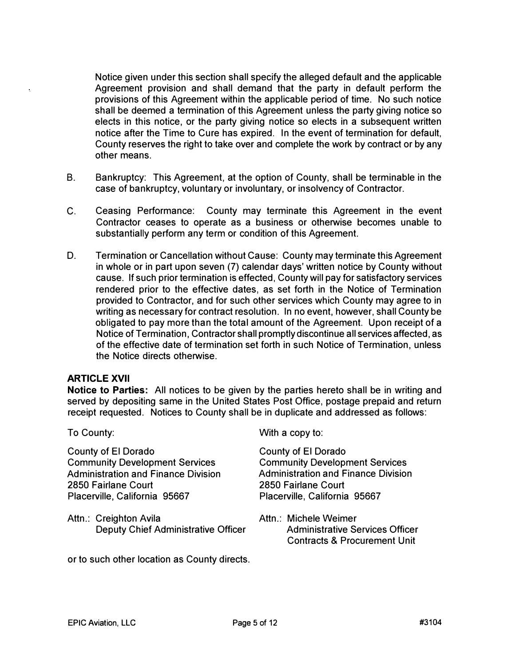Notice given under this section shall specify the alleged default and the applicable Agreement provision and shall demand that the party in default perform the provisions of this Agreement within the applicable period of time. No such notice shall be deemed a termination of this Agreement unless the party giving notice so elects in this notice, or the party giving notice so elects in a subsequent written notice after the Time to Cure has expired. In the event of termination for default, County reserves the right to take over and complete the work by contract or by any other means.

- B. Bankruptcy: This Agreement, at the option of County, shall be terminable in the case of bankruptcy, voluntary or involuntary, or insolvency of Contractor.
- C. Ceasing Performance: County may terminate this Agreement in the event Contractor ceases to operate as a business or otherwise becomes unable to substantially perform any term or condition of this Agreement.
- D. Termination or Cancellation without Cause: County may terminate this Agreement in whole or in part upon seven (7) calendar days' written notice by County without cause. If such prior termination is effected, County will pay for satisfactory services rendered prior to the effective dates, as set forth in the Notice of Termination provided to Contractor, and for such other services which County may agree to in writing as necessary for contract resolution. In no event, however, shall County be obligated to pay more than the total amount of the Agreement. Upon receipt of a Notice of Termination, Contractor shall promptly discontinue all services affected, as of the effective date of termination set forth in such Notice of Termination, unless the Notice directs otherwise.

#### **ARTICLE XVII**

 $\hat{\mathbf{r}}$ 

**Notice to Parties:** All notices to be given by the parties hereto shall be in writing and served by depositing same in the United States Post Office, postage prepaid and return receipt requested. Notices to County shall be in duplicate and addressed as follows:

To County:

County of El Dorado Community Development Services Administration and Finance Division 2850 Fairlane Court Placerville, California 95667

Attn.: Creighton Avila Deputy Chief Administrative Officer

or to such other location as County directs.

With a copy to:

County of El Dorado Community Development Services Administration and Finance Division 2850 Fairlane Court Placerville, California 95667

Attn.: Michele Weimer Administrative Services Officer Contracts & Procurement Unit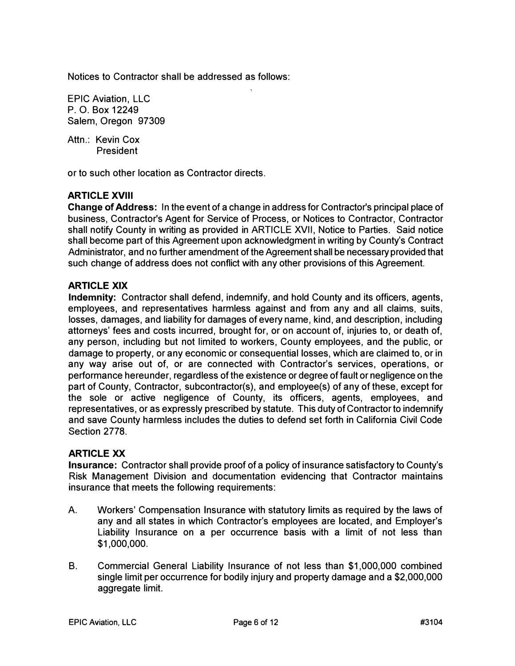Notices to Contractor shall be addressed as follows:

EPIC Aviation, LLC P. 0. Box 12249 Salem, Oregon 97309

Attn.: Kevin Cox President

or to such other location as Contractor directs.

# **ARTICLE XVIII**

**Change of Address:** In the event of a change in address for Contractor's principal place of business, Contractor's Agent for Service of Process, or Notices to Contractor, Contractor shall notify County in writing as provided in ARTICLE XVII, Notice to Parties. Said notice shall become part of this Agreement upon acknowledgment in writing by County's Contract Administrator, and no further amendment of the Agreement shall be necessary provided that such change of address does not conflict with any other provisions of this Agreement.

# **ARTICLE XIX**

**Indemnity:** Contractor shall defend, indemnify, and hold County and its officers, agents, employees, and representatives harmless against and from any and all claims, suits, losses, damages, and liability for damages of every name, kind, and description, including attorneys' fees and costs incurred, brought for, or on account of, injuries to, or death of, any person, including but not limited to workers, County employees, and the public, or damage to property, or any economic or consequential losses, which are claimed to, or in any way arise out of, or are connected with Contractor's services, operations, or performance hereunder, regardless of the existence or degree of fault or negligence on the part of County, Contractor, subcontractor(s), and employee(s) of any of these, except for the sole or active negligence of County, its officers, agents, employees, and representatives, or as expressly prescribed by statute. This duty of Contractor to indemnify and save County harmless includes the duties to defend set forth in California Civil Code Section 2778.

# **ARTICLE XX**

**Insurance:** Contractor shall provide proof of a policy of insurance satisfactory to County's Risk Management Division and documentation evidencing that Contractor maintains insurance that meets the following requirements:

- A. Workers' Compensation Insurance with statutory limits as required by the laws of any and all states in which Contractor's employees are located, and Employer's Liability Insurance on a per occurrence basis with a limit of not less than \$1,000,000.
- B. Commercial General Liability Insurance of not less than \$1,000,000 combined single limit per occurrence for bodily injury and property damage and a \$2,000,000 aggregate limit.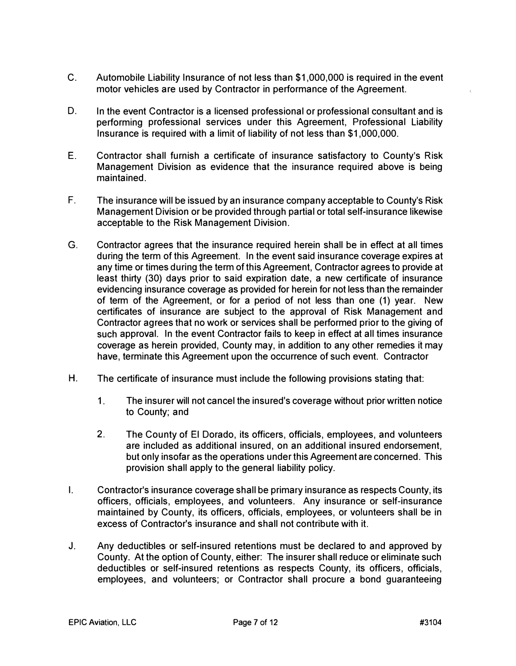- C. Automobile Liability Insurance of not less than \$1,000,000 is required in the event motor vehicles are used by Contractor in performance of the Agreement.
- D. In the event Contractor is a licensed professional or professional consultant and is performing professional services under this Agreement, Professional Liability Insurance is required with a limit of liability of not less than \$1,000,000.
- E. Contractor shall furnish a certificate of insurance satisfactory to County's Risk Management Division as evidence that the insurance required above is being maintained.
- F. The insurance will be issued by an insurance company acceptable to County's Risk Management Division or be provided through partial or total self-insurance likewise acceptable to the Risk Management Division.
- G. Contractor agrees that the insurance required herein shall be in effect at all times during the term of this Agreement. In the event said insurance coverage expires at any time or times during the term of this Agreement, Contractor agrees to provide at least thirty (30) days prior to said expiration date, a new certificate of insurance evidencing insurance coverage as provided for herein for not less than the remainder of term of the Agreement, or for a period of not less than one (1) year. New certificates of insurance are subject to the approval of Risk Management and Contractor agrees that no work or services shall be performed prior to the giving of such approval. In the event Contractor fails to keep in effect at all times insurance coverage as herein provided, County may, in addition to any other remedies it may have, terminate this Agreement upon the occurrence of such event. Contractor
- H. The certificate of insurance must include the following provisions stating that:
	- 1. The insurer will not cancel the insured's coverage without prior written notice to County; and
	- 2. The County of El Dorado, its officers, officials, employees, and volunteers are included as additional insured, on an additional insured endorsement, but only insofar as the operations under this Agreement are concerned. This provision shall apply to the general liability policy.
- I. Contractor's insurance coverage shall be primary insurance as respects County, its officers, officials, employees, and volunteers. Any insurance or self-insurance maintained by County, its officers, officials, employees, or volunteers shall be in excess of Contractor's insurance and shall not contribute with it.
- J. Any deductibles or self-insured retentions must be declared to and approved by County. At the option of County, either: The insurer shall reduce or eliminate such deductibles or self-insured retentions as respects County, its officers, officials, employees, and volunteers; or Contractor shall procure a bond guaranteeing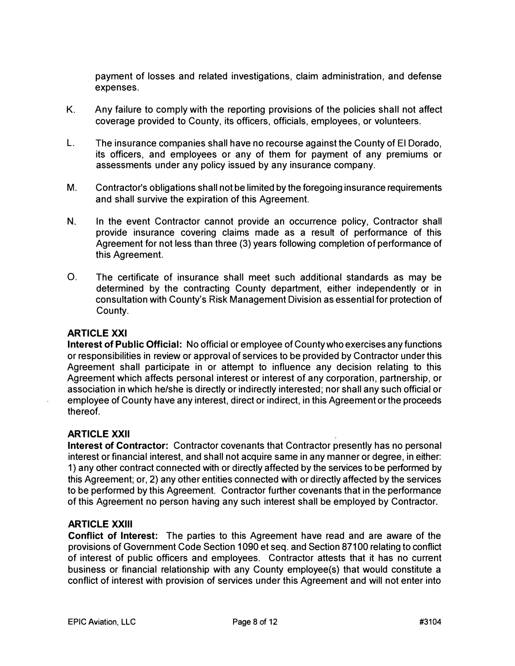payment of losses and related investigations, claim administration, and defense expenses.

- K. Any failure to comply with the reporting provisions of the policies shall not affect coverage provided to County, its officers, officials, employees, or volunteers.
- L. The insurance companies shall have no recourse against the County of El Dorado, its officers, and employees or any of them for payment of any premiums or assessments under any policy issued by any insurance company.
- M. Contractor's obligations shall not be limited by the foregoing insurance requirements and shall survive the expiration of this Agreement.
- N. In the event Contractor cannot provide an occurrence policy, Contractor shall provide insurance covering claims made as a result of performance of this Agreement for not less than three (3) years following completion of performance of this Agreement.
- 0. The certificate of insurance shall meet such additional standards as may be determined by the contracting County department, either independently or in consultation with County's Risk Management Division as essential for protection of County.

# **ARTICLEXXI**

**Interest of Public Official:** No official or employee of County who exercises any functions or responsibilities in review or approval of services to be provided by Contractor under this Agreement shall participate in or attempt to influence any decision relating to this Agreement which affects personal interest or interest of any corporation, partnership, or association in which he/she is directly or indirectly interested; nor shall any such official or employee of County have any interest, direct or indirect, in this Agreement or the proceeds thereof.

# **ARTICLE XXII**

**Interest of Contractor:** Contractor covenants that Contractor presently has no personal interest or financial interest, and shall not acquire same in any manner or degree, in either: 1) any other contract connected with or directly affected by the services to be performed by this Agreement; or, 2) any other entities connected with or directly affected by the services to be performed by this Agreement. Contractor further covenants that in the performance of this Agreement no person having any such interest shall be employed by Contractor.

# **ARTICLE XXIII**

**Conflict of Interest:** The parties to this Agreement have read and are aware of the provisions of Government Code Section 1090 et seq. and Section 87100 relating to conflict of interest of public officers and employees. Contractor attests that it has no current business or financial relationship with any County employee(s) that would constitute a conflict of interest with provision of services under this Agreement and will not enter into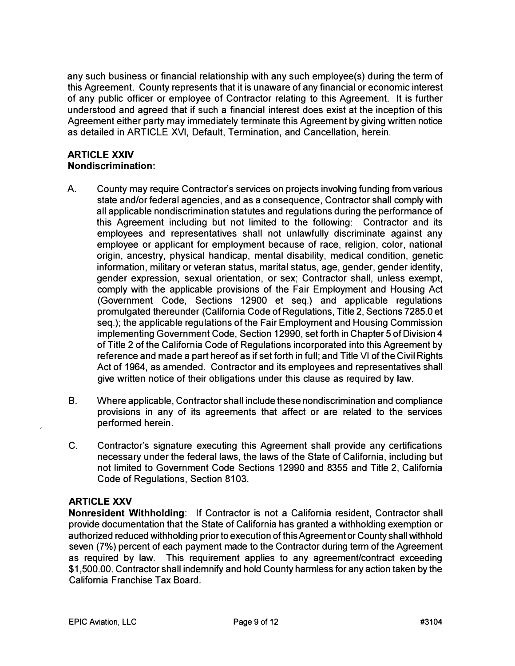any such business or financial relationship with any such employee(s) during the term of this Agreement. County represents that it is unaware of any financial or economic interest of any public officer or employee of Contractor relating to this Agreement. It is further understood and agreed that if such a financial interest does exist at the inception of this Agreement either party may immediately terminate this Agreement by giving written notice as detailed in ARTICLE XVI, Default, Termination, and Cancellation, herein.

# **ARTICLE XXIV**

# **Nondiscrimination:**

- A. County may require Contractor's services on projects involving funding from various state and/or federal agencies, and as a consequence, Contractor shall comply with all applicable nondiscrimination statutes and regulations during the performance of this Agreement including but not limited to the following: Contractor and its employees and representatives shall not unlawfully discriminate against any employee or applicant for employment because of race, religion, color, national origin, ancestry, physical handicap, mental disability, medical condition, genetic information, military or veteran status, marital status, age, gender, gender identity, gender expression, sexual orientation, or sex; Contractor shall, unless exempt, comply with the applicable provisions of the Fair Employment and Housing Act (Government Code, Sections 12900 et seq.) and applicable regulations promulgated thereunder (California Code of Regulations, Title 2, Sections 7285.0 et seq.); the applicable regulations of the Fair Employment and Housing Commission implementing Government Code, Section 12990, set forth in Chapter 5 of Division 4 of Title 2 of the California Code of Regulations incorporated into this Agreement by reference and made a part hereof as if set forth in full; and Title VI of the Civil Rights Act of 1964, as amended. Contractor and its employees and representatives shall give written notice of their obligations under this clause as required by law.
- B. Where applicable, Contractor shall include these nondiscrimination and compliance provisions in any of its agreements that affect or are related to the services performed herein.
- C. Contractor's signature executing this Agreement shall provide any certifications necessary under the federal laws, the laws of the State of California, including but not limited to Government Code Sections 12990 and 8355 and Title 2, California Code of Regulations, Section 8103.

# **ARTICLEXXV**

**Nonresident Withholding:** If Contractor is not a California resident, Contractor shall provide documentation that the State of California has granted a withholding exemption or authorized reduced withholding prior to execution of this Agreement or County shall withhold seven (7%) percent of each payment made to the Contractor during term of the Agreement as required by law. This requirement applies to any agreement/contract exceeding \$1,500.00. Contractor shall indemnify and hold County harmless for any action taken by the California Franchise Tax Board.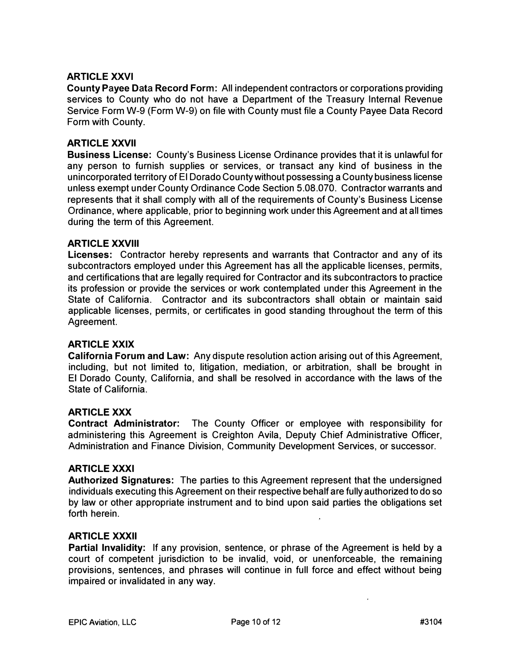#### **ARTICLE XXVI**

County Payee Data Record Form: All independent contractors or corporations providing services to County who do not have a Department of the Treasury Internal Revenue Service Form W-9 (Form W-9) on file with County must file a County Payee Data Record Form with County.

# **ARTICLE XXVII**

**Business License:** County's Business License Ordinance provides that it is unlawful for any person to furnish supplies or services, or transact any kind of business in the unincorporated territory of El Dorado County without possessing a County business license unless exempt under County Ordinance Code Section 5.08.070. Contractor warrants and represents that it shall comply with all of the requirements of County's Business License Ordinance, where applicable, prior to beginning work under this Agreement and at all times during the term of this Agreement.

#### **ARTICLE XXVIII**

**Licenses:** Contractor hereby represents and warrants that Contractor and any of its subcontractors employed under this Agreement has all the applicable licenses, permits, and certifications that are legally required for Contractor and its subcontractors to practice its profession or provide the services or work contemplated under this Agreement in the State of California. Contractor and its subcontractors shall obtain or maintain said applicable licenses, permits, or certificates in good standing throughout the term of this Agreement.

#### **ARTICLE XXIX**

**California Forum and Law:** Any dispute resolution action arising out of this Agreement, including, but not limited to, litigation, mediation, or arbitration, shall be brought in El Dorado County, California, and shall be resolved in accordance with the laws of the State of California.

#### **ARTICLEXXX**

**Contract Administrator:** The County Officer or employee with responsibility for administering this Agreement is Creighton Avila, Deputy Chief Administrative Officer, Administration and Finance Division, Community Development Services, or successor.

#### **ARTICLE XXXI**

**Authorized Signatures:** The parties to this Agreement represent that the undersigned individuals executing this Agreement on their respective behalf are fully authorized to do so by law or other appropriate instrument and to bind upon said parties the obligations set forth herein.

# **ARTICLE XXXII**

**Partial Invalidity:** If any provision, sentence, or phrase of the Agreement is held by a court of competent jurisdiction to be invalid, void, or unenforceable, the remaining provisions, sentences, and phrases will continue in full force and effect without being impaired or invalidated in any way.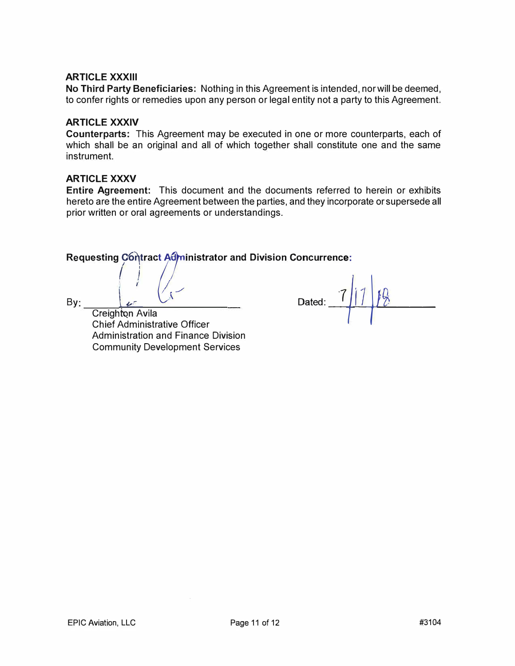#### **ARTICLE XXXIII**

**No Third Party Beneficiaries:** Nothing in this Agreement is intended, nor will be deemed, to confer rights or remedies upon any person or legal entity not a party to this Agreement.

#### **ARTICLE XXXIV**

**Counterparts:** This Agreement may be executed in one or more counterparts, each of which shall be an original and all of which together shall constitute one and the same instrument.

#### **ARTICLE XXXV**

**Entire Agreement:** This document and the documents referred to herein or exhibits hereto are the entire Agreement between the parties, and they incorporate or supersede all prior written or oral agreements or understandings.

# **:**Requesting Contract Administrator and Division Concurrence:

By:

Creighton Avila<br>Chief Administrative Officer Administration and Finance Division Community Development Services

Dated:  $7/11/8$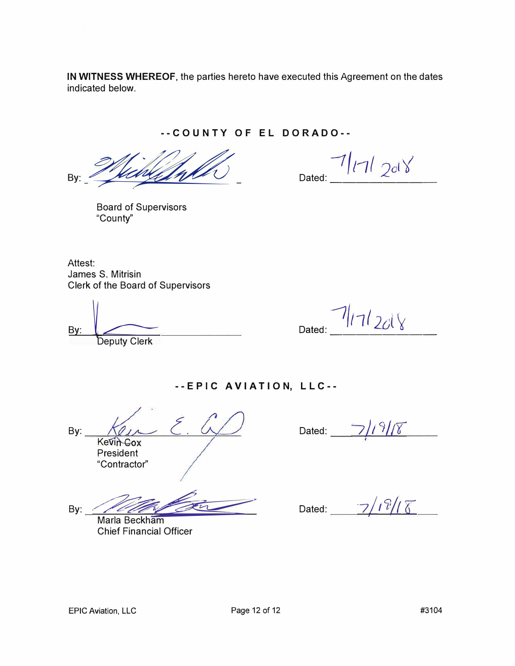**IN WITNESS WHEREOF,** the parties hereto have executed this Agreement on the dates indicated below.

**--COUNTY OF EL DORADO--**

 $By: \mathcal{L}$  uch  $\mathcal{L}$  ated:  $\mathcal{L}$   $\mathcal{L}$   $\mathcal{L}$   $\mathcal{L}$   $\mathcal{L}$   $\mathcal{L}$   $\mathcal{L}$   $\mathcal{L}$   $\mathcal{L}$   $\mathcal{L}$   $\mathcal{L}$   $\mathcal{L}$   $\mathcal{L}$   $\mathcal{L}$   $\mathcal{L}$   $\mathcal{L}$   $\mathcal{L}$   $\mathcal{L}$   $\mathcal{L}$   $\mathcal{L}$   $\mathcal{L}$   $\$ 

 $\frac{-1}{2}$  *d*  $\frac{1}{2}$  *d*  $\frac{1}{6}$ 

Board of Supervisors "County"

Attest: James S. Mitrisin Clerk of the Board of Supervisors

 $\mathsf{By:}\n\begin{bmatrix}\n\cdot & \mathsf{I} \\
\mathsf{I} \\
\mathsf{I}\n\end{bmatrix}\n\qquad\n\begin{bmatrix}\n\cdot & \mathsf{I} \\
\mathsf{I} \\
\mathsf{I}\n\end{bmatrix}\n\qquad\n\begin{bmatrix}\n\cdot & \mathsf{I} \\
\mathsf{I} \\
\mathsf{I}\n\end{bmatrix}\n\qquad\n\begin{bmatrix}\n\cdot & \mathsf{I} \\
\mathsf{I} \\
\mathsf{I}\n\end{bmatrix}\n\qquad\n\begin{bmatrix}\n\cdot & \mathsf{I} \\
\mathsf{I} \\
\mathsf{I}\n\end{bmatrix}\n\qquad\n\$ Deputy Clerk

**-- E P I C AV I AT I O N, L L C --**

By: Kevin Cox President

"Contractor"

By: */�-�-* Marla Beckham

Chief Financial Officer

 $\omega$  Dated:  $\frac{1}{\sqrt{2}}$ *1)19/[(*

Dated: 7/1<sup>9</sup>/18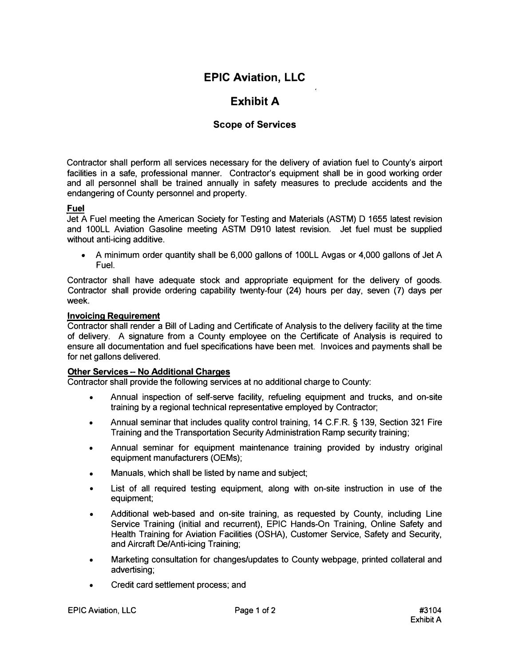# **EPIC Aviation, LLC**

# **Exhibit A**

# **Scope of Services**

Contractor shall perform all services necessary for the delivery of aviation fuel to County's airport facilities in a safe, professional manner. Contractor's equipment shall be in good working order and all personnel shall be trained annually in safety measures to preclude accidents and the endangering of County personnel and property.

#### **Fuel**

Jet A Fuel meeting the American Society for Testing and Materials (ASTM) D 1655 latest revision and 100LL Aviation Gasoline meeting ASTM D910 latest revision. Jet fuel must be supplied without anti-icing additive.

• A minimum order quantity shall be 6,000 gallons of 100LL Avgas or 4,000 gallons of Jet A Fuel.

Contractor shall have adequate stock and appropriate equipment for the delivery of goods. Contractor shall provide ordering capability twenty-four (24) hours per day, seven (7) days per week.

#### **Invoicing Requirement**

Contractor shall render a Bill of Lading and Certificate of Analysis to the delivery facility at the time of delivery. A signature from a County employee on the Certificate of Analysis is required to ensure all documentation and fuel specifications have been met. Invoices and payments shall be for net gallons delivered.

#### **Other Services - No Additional Charges**

Contractor shall provide the following services at no additional charge to County:

- Annual inspection of self-serve facility, refueling equipment and trucks, and on-site training by a regional technical representative employed by Contractor;
- Annual seminar that includes quality control training, 14 C.F.R. § 139, Section 321 Fire Training and the Transportation Security Administration Ramp security training;
- Annual seminar for equipment maintenance training provided by industry original equipment manufacturers (OEMs);
- Manuals, which shall be listed by name and subject;
- List of all required testing equipment, along with on-site instruction in use of the equipment;
- Additional web-based and on-site training, as requested by County, including Line Service Training (initial and recurrent), EPIC Hands-On Training, Online Safety and Health Training for Aviation Facilities (OSHA), Customer Service, Safety and Security, and Aircraft De/Anti-icing Training;
- Marketing consultation for changes/updates to County webpage, printed collateral and advertising;
- Credit card settlement process; and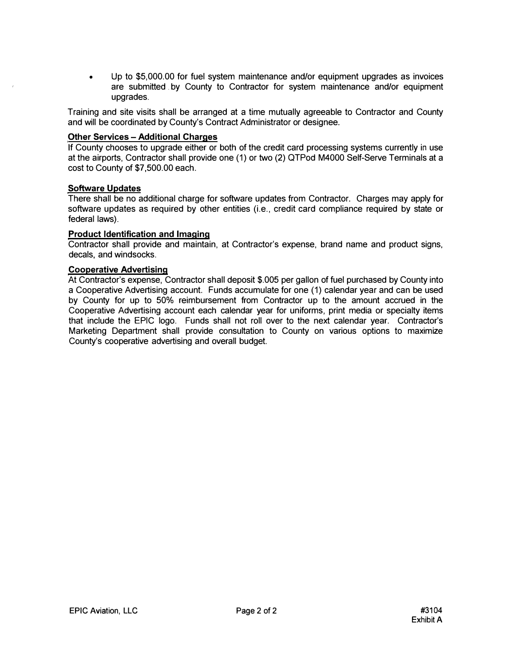• Up to \$5,000.00 for fuel system maintenance and/or equipment upgrades as invoices are submitted . by County to Contractor for system maintenance and/or equipment upgrades.

Training and site visits shall be arranged at a time mutually agreeable to Contractor and County and will be coordinated by County's Contract Administrator or designee.

#### **Other Services - Additional Charges**

If County chooses to upgrade either or both of the credit card processing systems currently in use at the airports, Contractor shall provide one (1) or two (2) QTPod M4000 Self-Serve Terminals at a cost to County of \$7,500.00 each.

#### **Software Updates**

There shall be no additional charge for software updates from Contractor. Charges may apply for software updates as required by other entities (i.e., credit card compliance required by state or federal laws).

#### **Product Identification and Imaging**

Contractor shall provide and maintain, at Contractor's expense, brand name and product signs, decals, and windsocks.

#### **Cooperative Advertising**

At Contractor's expense, Contractor shall deposit \$.005 per gallon of fuel purchased by County into a Cooperative Advertising account. Funds accumulate for one (1) calendar year and can be used by County for up to 50% reimbursement from Contractor up to the amount accrued in the Cooperative Advertising account each calendar year for uniforms, print media or specialty items that include the EPIC logo. Funds shall not roll over to the next calendar year. Contractor's Marketing Department shall provide consultation to County on various options to maximize County's cooperative advertising and overall budget.